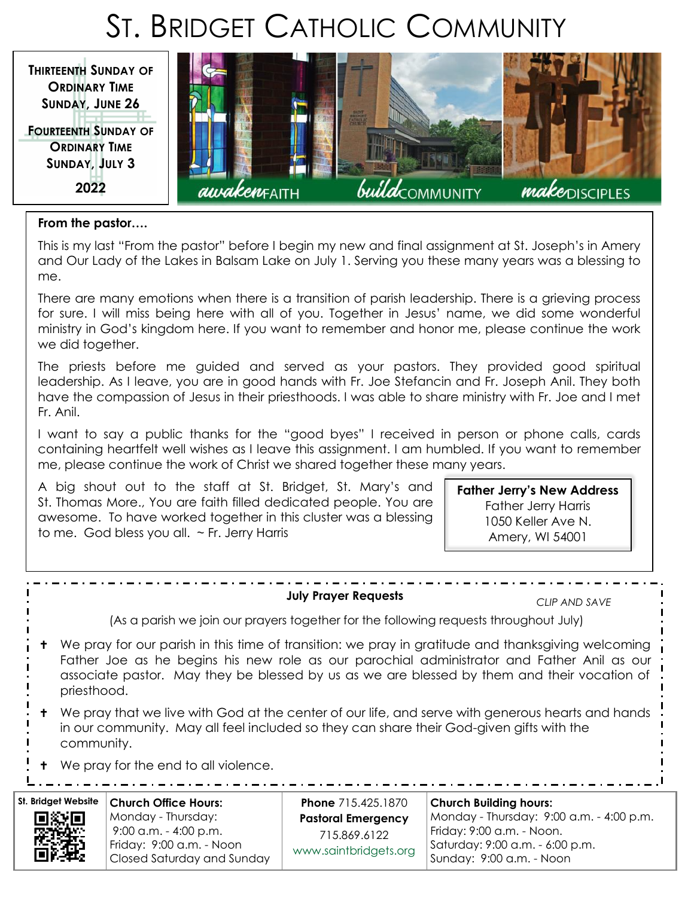# ST. BRIDGET CATHOLIC COMMUNITY



#### **From the pastor….**

This is my last "From the pastor" before I begin my new and final assignment at St. Joseph's in Amery and Our Lady of the Lakes in Balsam Lake on July 1. Serving you these many years was a blessing to me.

There are many emotions when there is a transition of parish leadership. There is a grieving process for sure. I will miss being here with all of you. Together in Jesus' name, we did some wonderful ministry in God's kingdom here. If you want to remember and honor me, please continue the work we did together.

The priests before me guided and served as your pastors. They provided good spiritual leadership. As I leave, you are in good hands with Fr. Joe Stefancin and Fr. Joseph Anil. They both have the compassion of Jesus in their priesthoods. I was able to share ministry with Fr. Joe and I met Fr. Anil.

I want to say a public thanks for the "good byes" I received in person or phone calls, cards containing heartfelt well wishes as I leave this assignment. I am humbled. If you want to remember me, please continue the work of Christ we shared together these many years.

A big shout out to the staff at St. Bridget, St. Mary's and St. Thomas More., You are faith filled dedicated people. You are awesome. To have worked together in this cluster was a blessing to me. God bless you all. ~ Fr. Jerry Harris

**Father Jerry's New Address** Father Jerry Harris 1050 Keller Ave N. Amery, WI 54001

#### **July Prayer Requests**

*CLIP AND SAVE*

(As a parish we join our prayers together for the following requests throughout July)

- We pray for our parish in this time of transition: we pray in gratitude and thanksgiving welcoming Father Joe as he begins his new role as our parochial administrator and Father Anil as our associate pastor. May they be blessed by us as we are blessed by them and their vocation of priesthood.
- We pray that we live with God at the center of our life, and serve with generous hearts and hands in our community. May all feel included so they can share their God-given gifts with the community.
- **+** We pray for the end to all violence.

 $\frac{1}{2} \left( \frac{1}{2} \right) \left( \frac{1}{2} \right) \left( \frac{1}{2} \right) \left( \frac{1}{2} \right) \left( \frac{1}{2} \right) \left( \frac{1}{2} \right)$ 

# **St. Bridget Website**

**Church Office Hours:** Monday - Thursday: 9:00 a.m. - 4:00 p.m. Friday: 9:00 a.m. - Noon Closed Saturday and Sunday

**Phone** 715.425.1870 **Pastoral Emergency**  715.869.6122 [www.saintbridgets.org](http://www.saintbridgets.org)

**Church Building hours:** Monday - Thursday: 9:00 a.m. - 4:00 p.m. Friday: 9:00 a.m. - Noon. Saturday: 9:00 a.m. - 6:00 p.m. Sunday: 9:00 a.m. - Noon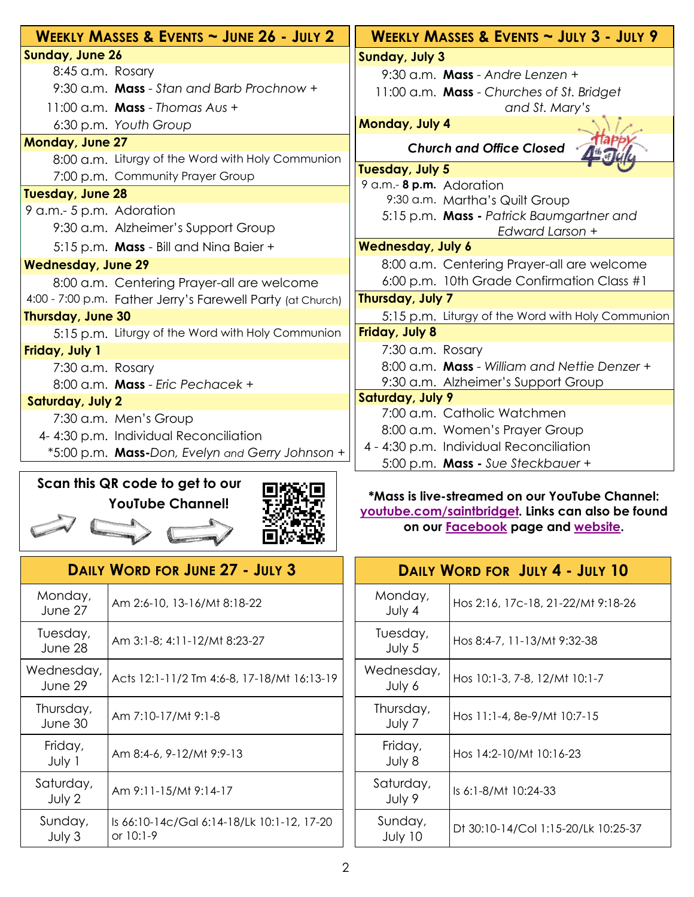| WEEKLY MASSES & EVENTS ~ JUNE 26 - JULY 2                  | WEEKLY MASSES & EVENTS ~ JULY 3 - JULY 9                    |  |
|------------------------------------------------------------|-------------------------------------------------------------|--|
| <b>Sunday, June 26</b>                                     | <b>Sunday, July 3</b>                                       |  |
| 8:45 a.m. Rosary                                           | 9:30 a.m. Mass - Andre Lenzen +                             |  |
| 9:30 a.m. Mass - Stan and Barb Prochnow +                  | 11:00 a.m. Mass - Churches of St. Bridget                   |  |
| 11:00 a.m. <b>Mass</b> - Thomas Aus +                      | and St. Mary's                                              |  |
| 6:30 p.m. Youth Group                                      | Monday, July 4                                              |  |
| <b>Monday, June 27</b>                                     | <b>Church and Office Closed</b>                             |  |
| 8:00 a.m. Liturgy of the Word with Holy Communion          |                                                             |  |
| 7:00 p.m. Community Prayer Group                           | Tuesday, July 5                                             |  |
| <b>Tuesday, June 28</b>                                    | 9 a.m.- 8 p.m. Adoration                                    |  |
| 9 a.m.- 5 p.m. Adoration                                   | 9:30 a.m. Martha's Quilt Group                              |  |
| 9:30 a.m. Alzheimer's Support Group                        | 5:15 p.m. Mass - Patrick Baumgartner and<br>Edward Larson + |  |
| 5:15 p.m. Mass - Bill and Nina Baier +                     | <b>Wednesday, July 6</b>                                    |  |
| <b>Wednesday, June 29</b>                                  | 8:00 a.m. Centering Prayer-all are welcome                  |  |
| 8:00 a.m. Centering Prayer-all are welcome                 | 6:00 p.m. 10th Grade Confirmation Class #1                  |  |
| 4:00 - 7:00 p.m. Father Jerry's Farewell Party (at Church) | Thursday, July 7                                            |  |
| Thursday, June 30                                          | 5:15 p.m. Liturgy of the Word with Holy Communion           |  |
| 5:15 p.m. Liturgy of the Word with Holy Communion          | <b>Friday, July 8</b>                                       |  |
| Friday, July 1                                             | 7:30 a.m. Rosary                                            |  |
| 7:30 a.m. Rosary                                           | 8:00 a.m. Mass - William and Nettie Denzer +                |  |
| 8:00 a.m. Mass - Eric Pechacek +                           | 9:30 a.m. Alzheimer's Support Group                         |  |
| <b>Saturday, July 2</b>                                    | Saturday, July 9                                            |  |
| 7:30 a.m. Men's Group                                      | 7:00 a.m. Catholic Watchmen                                 |  |
| 4-4:30 p.m. Individual Reconciliation                      | 8:00 a.m. Women's Prayer Group                              |  |
| *5:00 p.m. Mass-Don, Evelyn and Gerry Johnson +            | 4 - 4:30 p.m. Individual Reconciliation                     |  |
|                                                            | 5:00 p.m. Mass - Sue Steckbauer +                           |  |

# **Scan this QR code to get to our YouTube Channel!**



|                       | <b>DAILY WORD FOR JUNE 27 - JULY 3</b>                  |
|-----------------------|---------------------------------------------------------|
| Monday,<br>June 27    | Am 2:6-10, 13-16/Mt 8:18-22                             |
| Tuesday,<br>June 28   | Am 3:1-8; 4:11-12/Mt 8:23-27                            |
| Wednesday,<br>June 29 | Acts 12:1-11/2 Tm 4:6-8, 17-18/Mt 16:13-19              |
| Thursday,<br>June 30  | Am 7:10-17/Mt 9:1-8                                     |
| Friday,<br>July 1     | Am 8:4-6, 9-12/Mt 9:9-13                                |
| Saturday,<br>July 2   | Am 9:11-15/Mt 9:14-17                                   |
| Sunday,<br>July 3     | Is 66:10-14c/Gal 6:14-18/Lk 10:1-12, 17-20<br>or 10:1-9 |

**\*Mass is live-streamed on our YouTube Channel: [youtube.com/saintbridget.](https://www.youtube.com/saintbridget) Links can also be found on our [Facebook](https://www.facebook.com/St.Bridget.RF) page and [website.](https://www.saintbridgets.org/church/full-mass.cfm)**

| DAILY WORD FOR JULY 4 - JULY 10 |                                     |  |
|---------------------------------|-------------------------------------|--|
| Monday,<br>July 4               | Hos 2:16, 17c-18, 21-22/Mt 9:18-26  |  |
| Tuesday,<br>July 5              | Hos 8:4-7, 11-13/Mt 9:32-38         |  |
| Wednesday,<br>July 6            | Hos 10:1-3, 7-8, 12/Mt 10:1-7       |  |
| Thursday,<br>July 7             | Hos 11:1-4, 8e-9/Mt 10:7-15         |  |
| Friday,<br>July 8               | Hos 14:2-10/Mt 10:16-23             |  |
| Saturday,<br>July 9             | Is 6:1-8/Mt 10:24-33                |  |
| Sunday,<br>July 10              | Dt 30:10-14/Col 1:15-20/Lk 10:25-37 |  |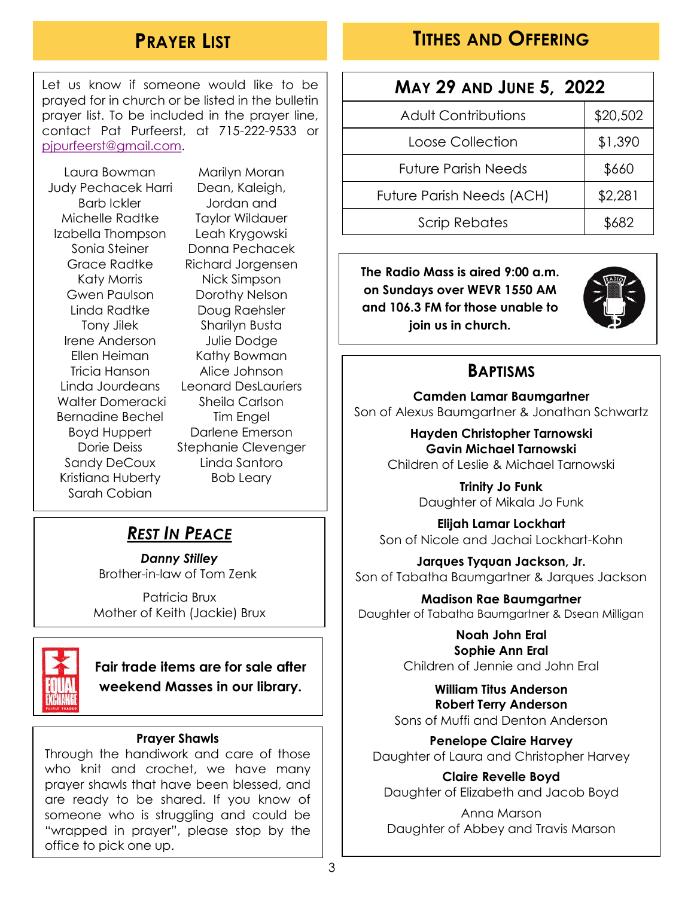### **PRAYER LIST**

#### **TITHES AND OFFERING**

Let us know if someone would like to be prayed for in church or be listed in the bulletin prayer list. To be included in the prayer line, contact Pat Purfeerst, at 715-222-9533 or [pjpurfeerst@gmail.com.](mailto:pjpurfeerst@gmail.com)

Laura Bowman Judy Pechacek Harri Barb Ickler Michelle Radtke Izabella Thompson Sonia Steiner Grace Radtke Katy Morris Gwen Paulson Linda Radtke Tony Jilek Irene Anderson Ellen Heiman Tricia Hanson Linda Jourdeans Walter Domeracki Bernadine Bechel Boyd Huppert Dorie Deiss Sandy DeCoux Kristiana Huberty Sarah Cobian

Marilyn Moran Dean, Kaleigh, Jordan and Taylor Wildauer Leah Krygowski Donna Pechacek Richard Jorgensen Nick Simpson Dorothy Nelson Doug Raehsler Sharilyn Busta Julie Dodge Kathy Bowman Alice Johnson Leonard DesLauriers Sheila Carlson Tim Engel Darlene Emerson Stephanie Clevenger Linda Santoro Bob Leary

#### *REST IN PEACE*

*Danny Stilley* Brother-in-law of Tom Zenk

Patricia Brux Mother of Keith (Jackie) Brux



**Fair trade items are for sale after weekend Masses in our library.**

#### **Prayer Shawls**

Through the handiwork and care of those who knit and crochet, we have many prayer shawls that have been blessed, and are ready to be shared. If you know of someone who is struggling and could be "wrapped in prayer", please stop by the office to pick one up.

| <b>MAY 29 AND JUNE 5, 2022</b> |          |  |
|--------------------------------|----------|--|
| <b>Adult Contributions</b>     | \$20,502 |  |
| Loose Collection               | \$1,390  |  |
| <b>Future Parish Needs</b>     | \$660    |  |
| Future Parish Needs (ACH)      | \$2,281  |  |
| <b>Scrip Rebates</b>           | \$682    |  |

**The Radio Mass is aired 9:00 a.m. on Sundays over WEVR 1550 AM and 106.3 FM for those unable to join us in church.**



#### **BAPTISMS**

**Camden Lamar Baumgartner** Son of Alexus Baumgartner & Jonathan Schwartz

> **Hayden Christopher Tarnowski Gavin Michael Tarnowski** Children of Leslie & Michael Tarnowski

> > **Trinity Jo Funk** Daughter of Mikala Jo Funk

**Elijah Lamar Lockhart** Son of Nicole and Jachai Lockhart-Kohn

**Jarques Tyquan Jackson, Jr.** Son of Tabatha Baumgartner & Jarques Jackson

**Madison Rae Baumgartner** Daughter of Tabatha Baumgartner & Dsean Milligan

> **Noah John Eral Sophie Ann Eral** Children of Jennie and John Eral

**William Titus Anderson Robert Terry Anderson** Sons of Muffi and Denton Anderson

**Penelope Claire Harvey** Daughter of Laura and Christopher Harvey

**Claire Revelle Boyd** Daughter of Elizabeth and Jacob Boyd

Anna Marson Daughter of Abbey and Travis Marson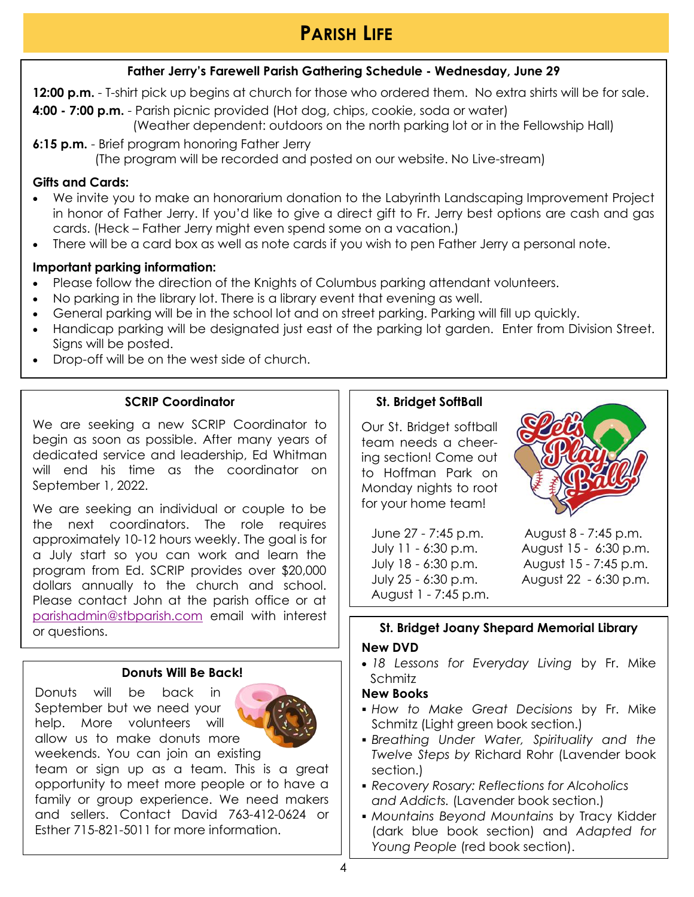## **PARISH LIFE**

#### **Father Jerry's Farewell Parish Gathering Schedule - Wednesday, June 29**

**12:00 p.m.** - T-shirt pick up begins at church for those who ordered them. No extra shirts will be for sale.

**4:00 - 7:00 p.m.** - Parish picnic provided (Hot dog, chips, cookie, soda or water) (Weather dependent: outdoors on the north parking lot or in the Fellowship Hall)

**6:15 p.m.** - Brief program honoring Father Jerry (The program will be recorded and posted on our website. No Live-stream)

#### **Gifts and Cards:**

- We invite you to make an honorarium donation to the Labyrinth Landscaping Improvement Project in honor of Father Jerry. If you'd like to give a direct gift to Fr. Jerry best options are cash and gas cards. (Heck – Father Jerry might even spend some on a vacation.)
- There will be a card box as well as note cards if you wish to pen Father Jerry a personal note.

#### **Important parking information:**

- Please follow the direction of the Knights of Columbus parking attendant volunteers.
- No parking in the library lot. There is a library event that evening as well.
- General parking will be in the school lot and on street parking. Parking will fill up quickly.
- Handicap parking will be designated just east of the parking lot garden. Enter from Division Street. Sians will be posted.
- Drop-off will be on the west side of church.

#### **SCRIP Coordinator**

We are seeking a new SCRIP Coordinator to begin as soon as possible. After many years of dedicated service and leadership, Ed Whitman will end his time as the coordinator on September 1, 2022.

We are seeking an individual or couple to be the next coordinators. The role requires approximately 10-12 hours weekly. The goal is for a July start so you can work and learn the program from Ed. SCRIP provides over \$20,000 dollars annually to the church and school. Please contact John at the parish office or at [parishadmin@stbparish.com](mailto:Mountains%20Beyond%20Mountains%20in%20dark%20blue) email with interest or questions.

#### **Donuts Will Be Back!**

Donuts will be back in September but we need your help. More volunteers will allow us to make donuts more weekends. You can join an existing



team or sign up as a team. This is a great opportunity to meet more people or to have a family or group experience. We need makers and sellers. Contact David 763-412-0624 or Esther 715-821-5011 for more information.

#### **St. Bridget SoftBall**

Our St. Bridget softball team needs a cheering section! Come out to Hoffman Park on Monday nights to root for your home team!

June 27 - 7:45 p.m. July 11 - 6:30 p.m. July 18 - 6:30 p.m. July 25 - 6:30 p.m. August 1 - 7:45 p.m.

August 8 - 7:45 p.m. August 15 - 6:30 p.m. August 15 - 7:45 p.m. August 22 - 6:30 p.m.

#### **St. Bridget Joany Shepard Memorial Library**

#### **New DVD**

 *18 Lessons for Everyday Living* by Fr. Mike Schmitz

#### **New Books**

- *How to Make Great Decisions* by Fr. Mike Schmitz (Light green book section.)
- *Breathing Under Water, Spirituality and the Twelve Steps by* Richard Rohr (Lavender book section.)
- *Recovery Rosary: Reflections for Alcoholics and Addicts.* (Lavender book section.)
- *Mountains Beyond Mountains* by Tracy Kidder (dark blue book section) and *Adapted for Young People* (red book section).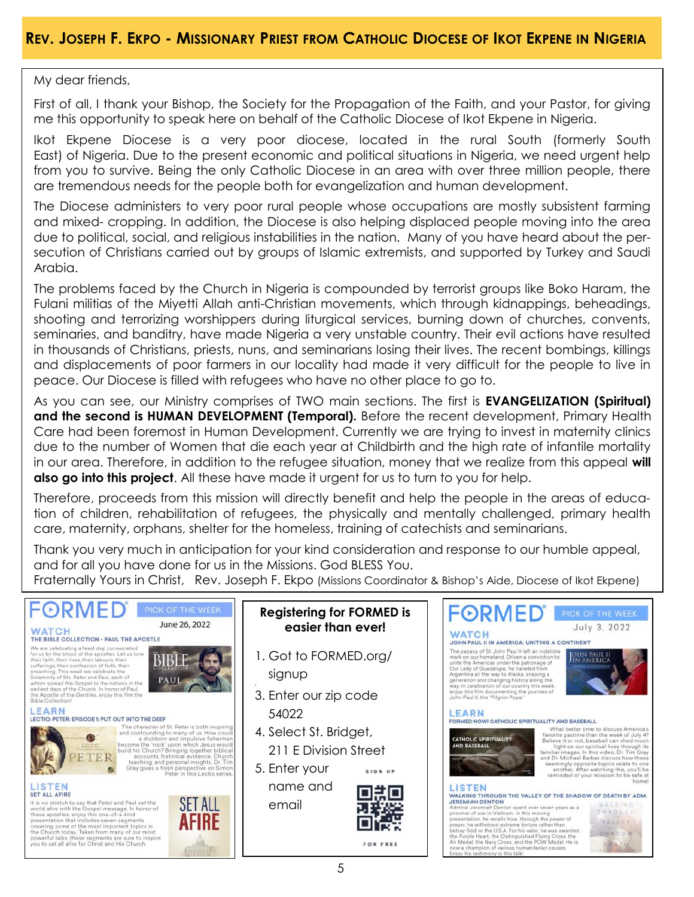My dear friends,

First of all, I thank your Bishop, the Society for the Propagation of the Faith, and your Pastor, for giving me this opportunity to speak here on behalf of the Catholic Diocese of Ikot Ekpene in Nigeria.

Ikot Ekpene Diocese is a very poor diocese, located in the rural South (formerly South East) of Nigeria. Due to the present economic and political situations in Nigeria, we need urgent help from you to survive. Being the only Catholic Diocese in an area with over three million people, there are tremendous needs for the people both for evangelization and human development.

The Diocese administers to very poor rural people whose occupations are mostly subsistent farming and mixed- cropping. In addition, the Diocese is also helping displaced people moving into the area due to political, social, and religious instabilities in the nation. Many of you have heard about the persecution of Christians carried out by groups of Islamic extremists, and supported by Turkey and Saudi Arabia.

The problems faced by the Church in Nigeria is compounded by terrorist groups like Boko Haram, the Fulani militias of the Miyetti Allah anti-Christian movements, which through kidnappings, beheadings, shooting and terrorizing worshippers during liturgical services, burning down of churches, convents, seminaries, and banditry, have made Nigeria a very unstable country. Their evil actions have resulted in thousands of Christians, priests, nuns, and seminarians losing their lives. The recent bombings, killings and displacements of poor farmers in our locality had made it very difficult for the people to live in peace. Our Diocese is filled with refugees who have no other place to go to.

As you can see, our Ministry comprises of TWO main sections. The first is **EVANGELIZATION (Spiritual) and the second is HUMAN DEVELOPMENT (Temporal).** Before the recent development, Primary Health Care had been foremost in Human Development. Currently we are trying to invest in maternity clinics due to the number of Women that die each year at Childbirth and the high rate of infantile mortality in our area. Therefore, in addition to the refugee situation, money that we realize from this appeal **will also go into this project**. All these have made it urgent for us to turn to you for help.

Therefore, proceeds from this mission will directly benefit and help the people in the areas of education of children, rehabilitation of refugees, the physically and mentally challenged, primary health care, maternity, orphans, shelter for the homeless, training of catechists and seminarians.

Thank you very much in anticipation for your kind consideration and response to our humble appeal, and for all you have done for us in the Missions. God BLESS You.

Fraternally Yours in Christ, Rev. Joseph F. Ekpo (Missions Coordinator & Bishop's Aide, Diocese of Ikot Ekpene)

#### FORMED FORMED **Registering for FORMED is**  June 26, 2022 July 3, 2022 **easier than ever! WATCH WATCH** THE BIBLE COLLECTION - PAUL THE APOSTLE JOHN PAUL II IN AMERICA: UNITING A CONTINENT We are celebrating a feast day, consecrated<br>for us by the blood of the apostles. Let us love The papacy of St. John Paul II left an indelible for us by the blood of the apostes. Let us love<br>their faith, their lives, their abours, their<br>sufferings, their confession of faith, their spacetings, their<br>preaching. This week we celebrate the<br>spaceting, This week we ce 1. Got to FORMED.org/ ur homeland. Driven a conviction to JULIN PAUL L inite the Americas under the patronage of unite the Americas under the patronage of<br>Our Lady of Guadalupe, he traveled from<br>Argentian all the way to Alaska, shaping a<br>generation and changing history along the<br>way. In celebration of our country this week<br>enjoy this signup **PAU** 3. Enter our zip code **LEARN** LEARN 54022 LECTIO: PETER: EPISODE 1: PUT OUT INTO THE DEEP FORMED NOW! CATHOLIC SPIRITUALITY AND BASEBALL The chanceter of St. Peter is both inspiring<br>and confounding to many of us. How could<br>a discussion and impulsive fishermar<br>become the "rock" upon which Jesus would<br>build its Church? Bringing together biblical<br>accounts, his What better time to discuss America's<br>favorite pastime than the week of July 42<br>fallow it or not, baseball can she week of July 42<br>light on our spiritual lives through its<br>familiar images. In this video, Dr. Tim Gray<br>famil 4. Select St. Bridget,  $\bullet$ **CATHOLIC SPIRITUALITY<br>AND BASEBALL**  211 E Division Street PETER of the terminally opposite topics relate to o<br>another. After watching this, you'll<br>reminded of your mission: to be safe 5. Enter your 服 SIGN UP name and LISTEN LISTEN oëo **SET ALL AFIRE** WALKING THROUGH THE VALLEY OF THE SHADOW OF DEATH BY ADM. **WALKING THROUGH THE VALLEY OF THE SHAD<br>JEREMIAH DENTON**<br>Admiral Jeremiah Denton spent over seven years as a<br>prisoner of war in Vietnam. In this moving Set ALC Arene<br>
It is no stretch to say that Peter and Paul set the<br>
world sine with the Gospel message. In honor of<br>
these apostles, enjoy this one-of-a-kind<br>
presentation that includes seven segments<br>
covering some of the **SET ALL**  emailWALKING<br>THROUGH Admiral Jeremiah Denton spert over seven years as a<br>prisoner of war in Vietnam. In this moving<br>presentation, he recalls how, through the power of<br>prayer, he withstood extreme torure rather than<br>betray God or the U.S.A. For **AFIRE** VALLEY SHADOW between your or the Oistinguished Flying Cross, the<br>Air Medal, the Navy Cross, and the POW Medal. He is<br>now a champion of various humanitarian causes. DEATH FOR FREE oy his testimony is this talk!